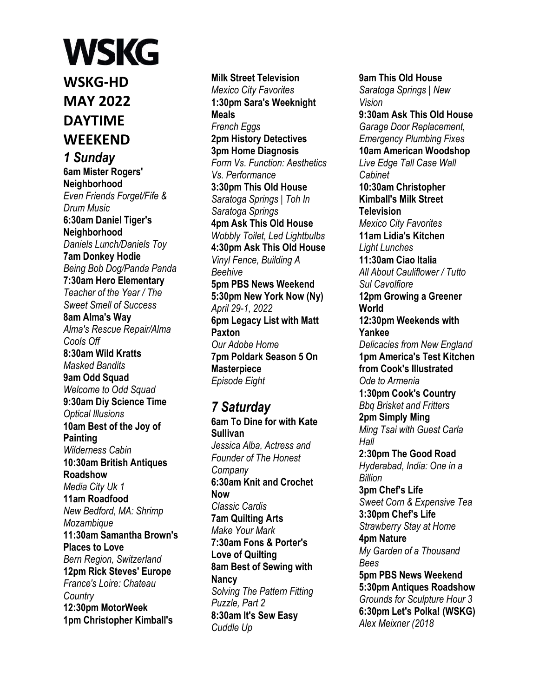#### **WSKG WSKG-HD MAY 2022 DAYTIME WEEKEND** *1 Sunday*  **6am Mister Rogers' Neighborhood**  *Even Friends Forget/Fife & Drum Music*  **6:30am Daniel Tiger's Neighborhood**  *Daniels Lunch/Daniels Toy*  **7am Donkey Hodie**  *Being Bob Dog/Panda Panda*  **7:30am Hero Elementary**  *Teacher of the Year / The Sweet Smell of Success*  **8am Alma's Way**  *Alma's Rescue Repair/Alma Cools Off*  **8:30am Wild Kratts**  *Masked Bandits*  **9am Odd Squad**  *Welcome to Odd Squad*  **9:30am Diy Science Time**  *Optical Illusions*  **10am Best of the Joy of Painting**  *Wilderness Cabin*  **10:30am British Antiques Roadshow**  *Media City Uk 1*  **11am Roadfood**  *New Bedford, MA: Shrimp Mozambique*  **11:30am Samantha Brown's Places to Love**  *Bern Region, Switzerland*  **12pm Rick Steves' Europe**  *France's Loire: Chateau Country*  **12:30pm MotorWeek 1pm Christopher Kimball's**

**Milk Street Television**  *Mexico City Favorites*  **1:30pm Sara's Weeknight Meals**  *French Eggs*  **2pm History Detectives 3pm Home Diagnosis**  *Form Vs. Function: Aesthetics Vs. Performance*  **3:30pm This Old House**  *Saratoga Springs | Toh In Saratoga Springs*  **4pm Ask This Old House**  *Wobbly Toilet, Led Lightbulbs*  **4:30pm Ask This Old House**  *Vinyl Fence, Building A Beehive*  **5pm PBS News Weekend 5:30pm New York Now (Ny)**  *April 29-1, 2022*  **6pm Legacy List with Matt Paxton**  *Our Adobe Home*  **7pm Poldark Season 5 On Masterpiece**  *Episode Eight* 

*7 Saturday*  **6am To Dine for with Kate Sullivan**  *Jessica Alba, Actress and Founder of The Honest Company*  **6:30am Knit and Crochet Now**  *Classic Cardis*  **7am Quilting Arts**  *Make Your Mark*  **7:30am Fons & Porter's Love of Quilting 8am Best of Sewing with Nancy**  *Solving The Pattern Fitting Puzzle, Part 2*  **8:30am It's Sew Easy**  *Cuddle Up* 

**9am This Old House**  *Saratoga Springs | New Vision*  **9:30am Ask This Old House**  *Garage Door Replacement, Emergency Plumbing Fixes*  **10am American Woodshop**  *Live Edge Tall Case Wall Cabinet*  **10:30am Christopher Kimball's Milk Street Television**  *Mexico City Favorites*  **11am Lidia's Kitchen**  *Light Lunches*  **11:30am Ciao Italia**  *All About Cauliflower / Tutto Sul Cavolfiore*  **12pm Growing a Greener World 12:30pm Weekends with Yankee**  *Delicacies from New England*  **1pm America's Test Kitchen from Cook's Illustrated**  *Ode to Armenia*  **1:30pm Cook's Country**  *Bbq Brisket and Fritters*  **2pm Simply Ming**  *Ming Tsai with Guest Carla Hall*  **2:30pm The Good Road**  *Hyderabad, India: One in a Billion*  **3pm Chef's Life**  *Sweet Corn & Expensive Tea*  **3:30pm Chef's Life**  *Strawberry Stay at Home*  **4pm Nature**  *My Garden of a Thousand Bees*  **5pm PBS News Weekend 5:30pm Antiques Roadshow**  *Grounds for Sculpture Hour 3*  **6:30pm Let's Polka! (WSKG)**  *Alex Meixner (2018*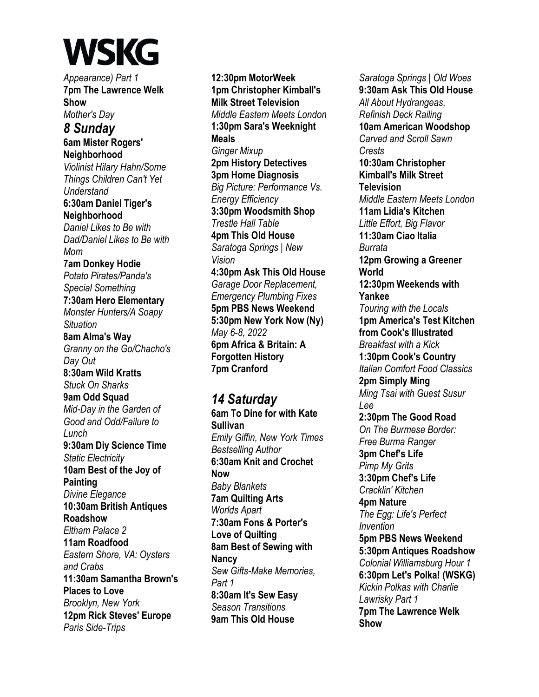*Appearance) Part 1*  **7pm The Lawrence Welk Show**  *Mother's Day 8 Sunday*  **6am Mister Rogers' Neighborhood**  *Violinist Hilary Hahn/Some Things Children Can't Yet Understand*  **6:30am Daniel Tiger's Neighborhood**  *Daniel Likes to Be with Dad/Daniel Likes to Be with Mom*  **7am Donkey Hodie**  *Potato Pirates/Panda's Special Something*  **7:30am Hero Elementary**  *Monster Hunters/A Soapy Situation*  **8am Alma's Way**  *Granny on the Go/Chacho's Day Out*  **8:30am Wild Kratts**  *Stuck On Sharks* 

**9am Odd Squad**  *Mid-Day in the Garden of Good and Odd/Failure to Lunch*  **9:30am Diy Science Time**  *Static Electricity*  **10am Best of the Joy of Painting**  *Divine Elegance*  **10:30am British Antiques Roadshow**  *Eltham Palace 2*  **11am Roadfood**  *Eastern Shore, VA: Oysters and Crabs*  **11:30am Samantha Brown's Places to Love**  *Brooklyn, New York*  **12pm Rick Steves' Europe**  *Paris Side-Trips* 

**12:30pm MotorWeek 1pm Christopher Kimball's Milk Street Television**  *Middle Eastern Meets London*  **1:30pm Sara's Weeknight Meals**  *Ginger Mixup*  **2pm History Detectives 3pm Home Diagnosis**  *Big Picture: Performance Vs. Energy Efficiency*  **3:30pm Woodsmith Shop**  *Trestle Hall Table*  **4pm This Old House**  *Saratoga Springs | New Vision*  **4:30pm Ask This Old House**  *Garage Door Replacement, Emergency Plumbing Fixes*  **5pm PBS News Weekend 5:30pm New York Now (Ny)**  *May 6-8, 2022*  **6pm Africa & Britain: A Forgotten History 7pm Cranford** 

*14 Saturday*  **6am To Dine for with Kate Sullivan**  *Emily Giffin, New York Times Bestselling Author*  **6:30am Knit and Crochet Now**  *Baby Blankets*  **7am Quilting Arts**  *Worlds Apart*  **7:30am Fons & Porter's Love of Quilting 8am Best of Sewing with Nancy**  *Sew Gifts-Make Memories, Part 1*  **8:30am It's Sew Easy**  *Season Transitions*  **9am This Old House** 

*Saratoga Springs | Old Woes*  **9:30am Ask This Old House**  *All About Hydrangeas, Refinish Deck Railing*  **10am American Woodshop**  *Carved and Scroll Sawn Crests*  **10:30am Christopher Kimball's Milk Street Television**  *Middle Eastern Meets London*  **11am Lidia's Kitchen**  *Little Effort, Big Flavor*  **11:30am Ciao Italia**  *Burrata*  **12pm Growing a Greener World 12:30pm Weekends with Yankee** *Touring with the Locals*  **1pm America's Test Kitchen from Cook's Illustrated**  *Breakfast with a Kick*  **1:30pm Cook's Country**  *Italian Comfort Food Classics*  **2pm Simply Ming**  *Ming Tsai with Guest Susur Lee*  **2:30pm The Good Road**  *On The Burmese Border: Free Burma Ranger*  **3pm Chef's Life**  *Pimp My Grits*  **3:30pm Chef's Life**  *Cracklin' Kitchen*  **4pm Nature**  *The Egg: Life's Perfect Invention*  **5pm PBS News Weekend 5:30pm Antiques Roadshow**  *Colonial Williamsburg Hour 1*  **6:30pm Let's Polka! (WSKG)**  *Kickin Polkas with Charlie Lawrisky Part 1*  **7pm The Lawrence Welk Show**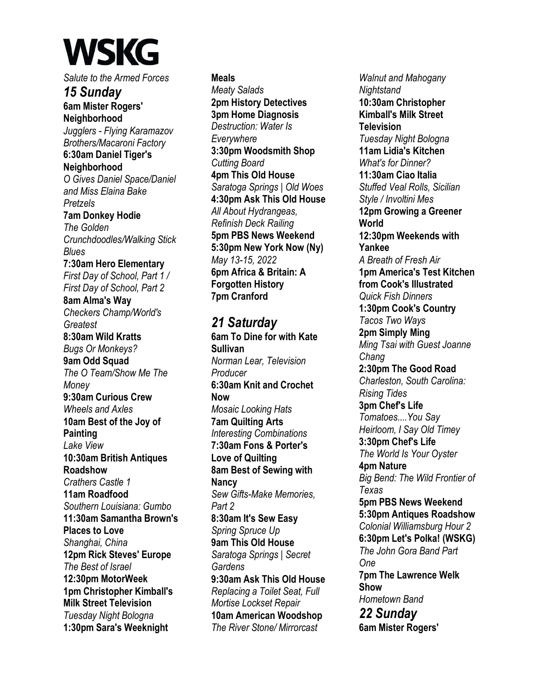*Salute to the Armed Forces 15 Sunday*  **6am Mister Rogers' Neighborhood**  *Jugglers - Flying Karamazov Brothers/Macaroni Factory*  **6:30am Daniel Tiger's Neighborhood**  *O Gives Daniel Space/Daniel and Miss Elaina Bake Pretzels*  **7am Donkey Hodie**  *The Golden Crunchdoodles/Walking Stick Blues*  **7:30am Hero Elementary**  *First Day of School, Part 1 / First Day of School, Part 2*  **8am Alma's Way**  *Checkers Champ/World's Greatest*  **8:30am Wild Kratts**  *Bugs Or Monkeys?*  **9am Odd Squad**  *The O Team/Show Me The Money*  **9:30am Curious Crew**  *Wheels and Axles*  **10am Best of the Joy of Painting**  *Lake View*  **10:30am British Antiques Roadshow**  *Crathers Castle 1*  **11am Roadfood**  *Southern Louisiana: Gumbo*  **11:30am Samantha Brown's Places to Love**  *Shanghai, China*  **12pm Rick Steves' Europe**  *The Best of Israel*  **12:30pm MotorWeek 1pm Christopher Kimball's Milk Street Television**  *Tuesday Night Bologna*  **1:30pm Sara's Weeknight** 

**Meals**  *Meaty Salads*  **2pm History Detectives 3pm Home Diagnosis**  *Destruction: Water Is Everywhere*  **3:30pm Woodsmith Shop**  *Cutting Board*  **4pm This Old House**  *Saratoga Springs | Old Woes*  **4:30pm Ask This Old House**  *All About Hydrangeas, Refinish Deck Railing*  **5pm PBS News Weekend 5:30pm New York Now (Ny)**  *May 13-15, 2022*  **6pm Africa & Britain: A Forgotten History 7pm Cranford** 

*21 Saturday*  **6am To Dine for with Kate Sullivan**  *Norman Lear, Television Producer*  **6:30am Knit and Crochet Now**  *Mosaic Looking Hats*  **7am Quilting Arts**  *Interesting Combinations*  **7:30am Fons & Porter's Love of Quilting 8am Best of Sewing with Nancy**  *Sew Gifts-Make Memories, Part 2*  **8:30am It's Sew Easy**  *Spring Spruce Up*  **9am This Old House**  *Saratoga Springs | Secret Gardens*  **9:30am Ask This Old House**  *Replacing a Toilet Seat, Full Mortise Lockset Repair*  **10am American Woodshop**  *The River Stone/ Mirrorcast* 

*Walnut and Mahogany Nightstand*  **10:30am Christopher Kimball's Milk Street Television**  *Tuesday Night Bologna*  **11am Lidia's Kitchen**  *What's for Dinner?*  **11:30am Ciao Italia**  *Stuffed Veal Rolls, Sicilian Style / Involtini Mes*  **12pm Growing a Greener World 12:30pm Weekends with Yankee**  *A Breath of Fresh Air*  **1pm America's Test Kitchen from Cook's Illustrated**  *Quick Fish Dinners*  **1:30pm Cook's Country**  *Tacos Two Ways*  **2pm Simply Ming**  *Ming Tsai with Guest Joanne Chang*  **2:30pm The Good Road**  *Charleston, South Carolina: Rising Tides*  **3pm Chef's Life**  *Tomatoes....You Say Heirloom, I Say Old Timey*  **3:30pm Chef's Life**  *The World Is Your Oyster*  **4pm Nature**  *Big Bend: The Wild Frontier of Texas*  **5pm PBS News Weekend 5:30pm Antiques Roadshow**  *Colonial Williamsburg Hour 2*  **6:30pm Let's Polka! (WSKG)**  *The John Gora Band Part One*  **7pm The Lawrence Welk Show**  *Hometown Band 22 Sunday*  **6am Mister Rogers'**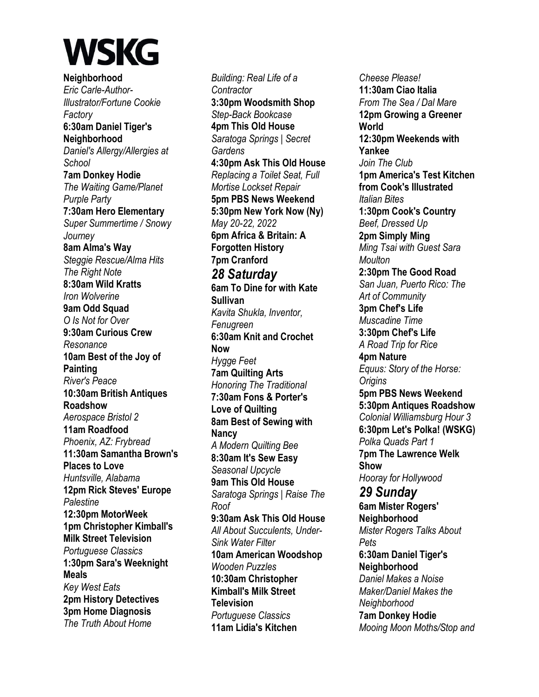**Neighborhood**  *Eric Carle-Author-Illustrator/Fortune Cookie Factory*  **6:30am Daniel Tiger's Neighborhood**  *Daniel's Allergy/Allergies at School*  **7am Donkey Hodie**  *The Waiting Game/Planet Purple Party*  **7:30am Hero Elementary**  *Super Summertime / Snowy Journey*  **8am Alma's Way**  *Steggie Rescue/Alma Hits The Right Note*  **8:30am Wild Kratts**  *Iron Wolverine*  **9am Odd Squad**  *O Is Not for Over*  **9:30am Curious Crew**  *Resonance*  **10am Best of the Joy of Painting**  *River's Peace*  **10:30am British Antiques Roadshow**  *Aerospace Bristol 2*  **11am Roadfood**  *Phoenix, AZ: Frybread*  **11:30am Samantha Brown's Places to Love**  *Huntsville, Alabama*  **12pm Rick Steves' Europe**  *Palestine*  **12:30pm MotorWeek 1pm Christopher Kimball's Milk Street Television**  *Portuguese Classics*  **1:30pm Sara's Weeknight Meals**  *Key West Eats*  **2pm History Detectives 3pm Home Diagnosis**  *The Truth About Home* 

*Building: Real Life of a Contractor*  **3:30pm Woodsmith Shop**  *Step-Back Bookcase*  **4pm This Old House**  *Saratoga Springs | Secret Gardens*  **4:30pm Ask This Old House**  *Replacing a Toilet Seat, Full Mortise Lockset Repair*  **5pm PBS News Weekend 5:30pm New York Now (Ny)**  *May 20-22, 2022*  **6pm Africa & Britain: A Forgotten History 7pm Cranford**  *28 Saturday*  **6am To Dine for with Kate Sullivan**  *Kavita Shukla, Inventor, Fenugreen*  **6:30am Knit and Crochet Now**  *Hygge Feet*  **7am Quilting Arts**  *Honoring The Traditional*  **7:30am Fons & Porter's Love of Quilting 8am Best of Sewing with Nancy**  *A Modern Quilting Bee*  **8:30am It's Sew Easy**  *Seasonal Upcycle*  **9am This Old House**  *Saratoga Springs | Raise The Roof*  **9:30am Ask This Old House**  *All About Succulents, Under-Sink Water Filter*  **10am American Woodshop**  *Wooden Puzzles*  **10:30am Christopher Kimball's Milk Street Television**  *Portuguese Classics*  **11am Lidia's Kitchen** 

*Cheese Please!*  **11:30am Ciao Italia**  *From The Sea / Dal Mare*  **12pm Growing a Greener World 12:30pm Weekends with Yankee**  *Join The Club*  **1pm America's Test Kitchen from Cook's Illustrated**  *Italian Bites*  **1:30pm Cook's Country**  *Beef, Dressed Up*  **2pm Simply Ming**  *Ming Tsai with Guest Sara Moulton*  **2:30pm The Good Road**  *San Juan, Puerto Rico: The Art of Community*  **3pm Chef's Life**  *Muscadine Time*  **3:30pm Chef's Life**  *A Road Trip for Rice*  **4pm Nature**  *Equus: Story of the Horse: Origins*  **5pm PBS News Weekend 5:30pm Antiques Roadshow**  *Colonial Williamsburg Hour 3*  **6:30pm Let's Polka! (WSKG)**  *Polka Quads Part 1*  **7pm The Lawrence Welk Show**  *Hooray for Hollywood 29 Sunday*  **6am Mister Rogers' Neighborhood**  *Mister Rogers Talks About Pets*  **6:30am Daniel Tiger's Neighborhood**  *Daniel Makes a Noise Maker/Daniel Makes the Neighborhood*  **7am Donkey Hodie**  *Mooing Moon Moths/Stop and*